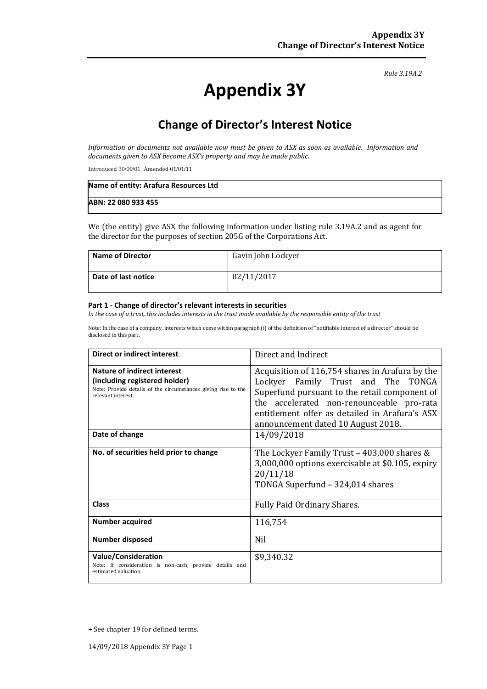#### *Rule 3.19A.2*

# **Appendix 3Y**

# **Change of Director's Interest Notice**

*Information or documents not available now must be given to ASX as soon as available. Information and documents given to ASX become ASX's property and may be made public.*

Introduced 30/09/01 Amended 01/01/11

| Name of entity: Arafura Resources Ltd |  |
|---------------------------------------|--|
| ABN: 22 080 933 455                   |  |

We (the entity) give ASX the following information under listing rule 3.19A.2 and as agent for the director for the purposes of section 205G of the Corporations Act.

| <b>Name of Director</b> | Gavin John Lockyer |
|-------------------------|--------------------|
| Date of last notice     | 02/11/2017         |

#### **Part 1 - Change of director's relevant interests in securities**

*In the case of a trust, this includes interests in the trust made available by the responsible entity of the trust*

Note: In the case of a company, interests which come within paragraph (i) of the definition of "notifiable interest of a director" should be disclosed in this part.

| <b>Direct or indirect interest</b>                                                                                                                  | Direct and Indirect                                                                                                                                                                                                                                                         |  |
|-----------------------------------------------------------------------------------------------------------------------------------------------------|-----------------------------------------------------------------------------------------------------------------------------------------------------------------------------------------------------------------------------------------------------------------------------|--|
| Nature of indirect interest<br>(including registered holder)<br>Note: Provide details of the circumstances giving rise to the<br>relevant interest. | Acquisition of 116,754 shares in Arafura by the<br>Lockyer Family Trust and The TONGA<br>Superfund pursuant to the retail component of<br>the accelerated non-renounceable pro-rata<br>entitlement offer as detailed in Arafura's ASX<br>announcement dated 10 August 2018. |  |
| Date of change                                                                                                                                      | 14/09/2018                                                                                                                                                                                                                                                                  |  |
| No. of securities held prior to change                                                                                                              | The Lockyer Family Trust - 403,000 shares &<br>3,000,000 options exercisable at \$0.105, expiry<br>20/11/18<br>TONGA Superfund - 324,014 shares                                                                                                                             |  |
| <b>Class</b>                                                                                                                                        | <b>Fully Paid Ordinary Shares.</b>                                                                                                                                                                                                                                          |  |
| <b>Number acquired</b>                                                                                                                              | 116,754                                                                                                                                                                                                                                                                     |  |
| <b>Number disposed</b>                                                                                                                              | <b>Nil</b>                                                                                                                                                                                                                                                                  |  |
| <b>Value/Consideration</b><br>Note: If consideration is non-cash, provide details and<br>estimated valuation                                        | \$9,340.32                                                                                                                                                                                                                                                                  |  |

<sup>+</sup> See chapter 19 for defined terms.